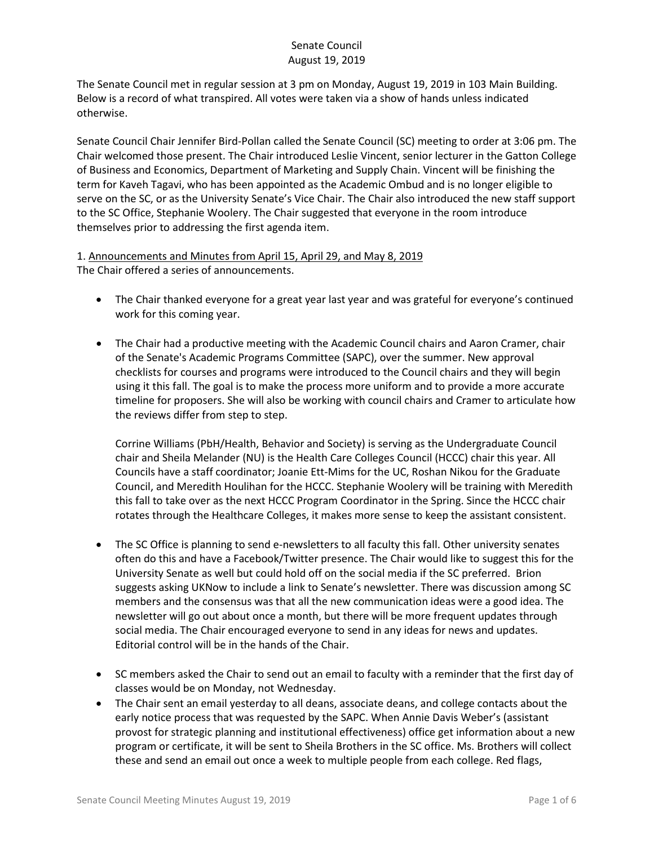The Senate Council met in regular session at 3 pm on Monday, August 19, 2019 in 103 Main Building. Below is a record of what transpired. All votes were taken via a show of hands unless indicated otherwise.

Senate Council Chair Jennifer Bird-Pollan called the Senate Council (SC) meeting to order at 3:06 pm. The Chair welcomed those present. The Chair introduced Leslie Vincent, senior lecturer in the Gatton College of Business and Economics, Department of Marketing and Supply Chain. Vincent will be finishing the term for Kaveh Tagavi, who has been appointed as the Academic Ombud and is no longer eligible to serve on the SC, or as the University Senate's Vice Chair. The Chair also introduced the new staff support to the SC Office, Stephanie Woolery. The Chair suggested that everyone in the room introduce themselves prior to addressing the first agenda item.

1. Announcements and Minutes from April 15, April 29, and May 8, 2019 The Chair offered a series of announcements.

- The Chair thanked everyone for a great year last year and was grateful for everyone's continued work for this coming year.
- The Chair had a productive meeting with the Academic Council chairs and Aaron Cramer, chair of the Senate's Academic Programs Committee (SAPC), over the summer. New approval checklists for courses and programs were introduced to the Council chairs and they will begin using it this fall. The goal is to make the process more uniform and to provide a more accurate timeline for proposers. She will also be working with council chairs and Cramer to articulate how the reviews differ from step to step.

Corrine Williams (PbH/Health, Behavior and Society) is serving as the Undergraduate Council chair and Sheila Melander (NU) is the Health Care Colleges Council (HCCC) chair this year. All Councils have a staff coordinator; Joanie Ett-Mims for the UC, Roshan Nikou for the Graduate Council, and Meredith Houlihan for the HCCC. Stephanie Woolery will be training with Meredith this fall to take over as the next HCCC Program Coordinator in the Spring. Since the HCCC chair rotates through the Healthcare Colleges, it makes more sense to keep the assistant consistent.

- The SC Office is planning to send e-newsletters to all faculty this fall. Other university senates often do this and have a Facebook/Twitter presence. The Chair would like to suggest this for the University Senate as well but could hold off on the social media if the SC preferred. Brion suggests asking UKNow to include a link to Senate's newsletter. There was discussion among SC members and the consensus was that all the new communication ideas were a good idea. The newsletter will go out about once a month, but there will be more frequent updates through social media. The Chair encouraged everyone to send in any ideas for news and updates. Editorial control will be in the hands of the Chair.
- SC members asked the Chair to send out an email to faculty with a reminder that the first day of classes would be on Monday, not Wednesday.
- The Chair sent an email yesterday to all deans, associate deans, and college contacts about the early notice process that was requested by the SAPC. When Annie Davis Weber's (assistant provost for strategic planning and institutional effectiveness) office get information about a new program or certificate, it will be sent to Sheila Brothers in the SC office. Ms. Brothers will collect these and send an email out once a week to multiple people from each college. Red flags,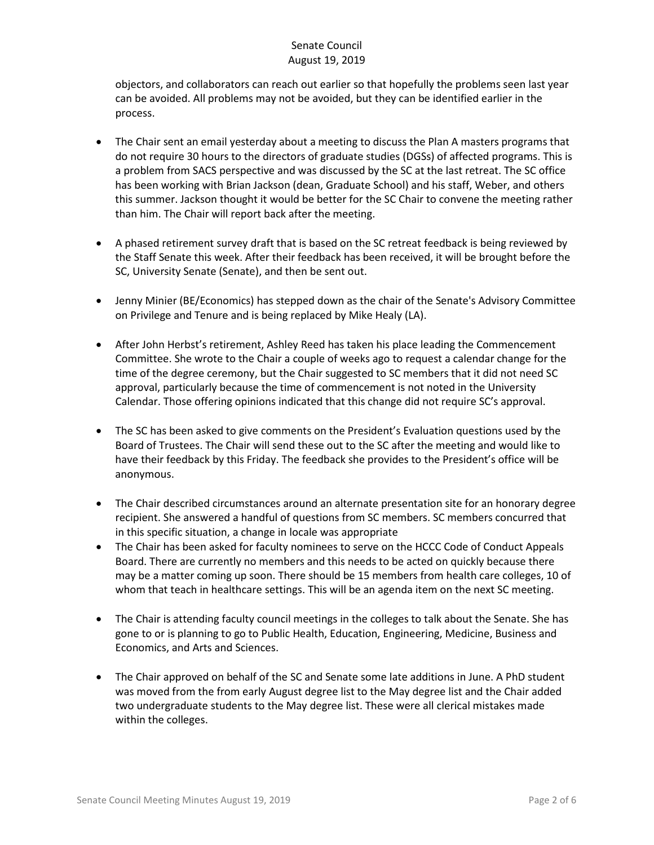objectors, and collaborators can reach out earlier so that hopefully the problems seen last year can be avoided. All problems may not be avoided, but they can be identified earlier in the process.

- The Chair sent an email yesterday about a meeting to discuss the Plan A masters programs that do not require 30 hours to the directors of graduate studies (DGSs) of affected programs. This is a problem from SACS perspective and was discussed by the SC at the last retreat. The SC office has been working with Brian Jackson (dean, Graduate School) and his staff, Weber, and others this summer. Jackson thought it would be better for the SC Chair to convene the meeting rather than him. The Chair will report back after the meeting.
- A phased retirement survey draft that is based on the SC retreat feedback is being reviewed by the Staff Senate this week. After their feedback has been received, it will be brought before the SC, University Senate (Senate), and then be sent out.
- Jenny Minier (BE/Economics) has stepped down as the chair of the Senate's Advisory Committee on Privilege and Tenure and is being replaced by Mike Healy (LA).
- After John Herbst's retirement, Ashley Reed has taken his place leading the Commencement Committee. She wrote to the Chair a couple of weeks ago to request a calendar change for the time of the degree ceremony, but the Chair suggested to SC members that it did not need SC approval, particularly because the time of commencement is not noted in the University Calendar. Those offering opinions indicated that this change did not require SC's approval.
- The SC has been asked to give comments on the President's Evaluation questions used by the Board of Trustees. The Chair will send these out to the SC after the meeting and would like to have their feedback by this Friday. The feedback she provides to the President's office will be anonymous.
- The Chair described circumstances around an alternate presentation site for an honorary degree recipient. She answered a handful of questions from SC members. SC members concurred that in this specific situation, a change in locale was appropriate
- The Chair has been asked for faculty nominees to serve on the HCCC Code of Conduct Appeals Board. There are currently no members and this needs to be acted on quickly because there may be a matter coming up soon. There should be 15 members from health care colleges, 10 of whom that teach in healthcare settings. This will be an agenda item on the next SC meeting.
- The Chair is attending faculty council meetings in the colleges to talk about the Senate. She has gone to or is planning to go to Public Health, Education, Engineering, Medicine, Business and Economics, and Arts and Sciences.
- The Chair approved on behalf of the SC and Senate some late additions in June. A PhD student was moved from the from early August degree list to the May degree list and the Chair added two undergraduate students to the May degree list. These were all clerical mistakes made within the colleges.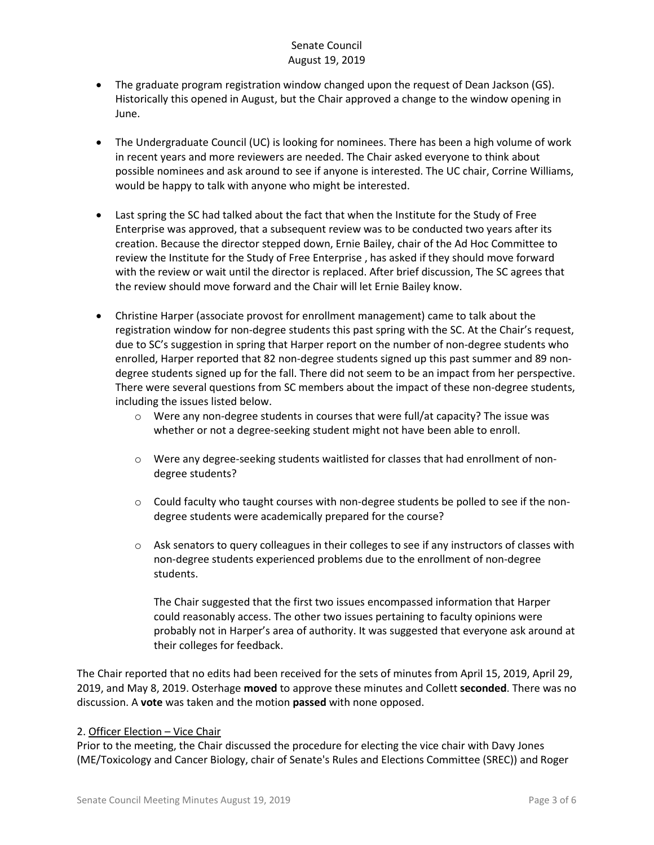- The graduate program registration window changed upon the request of Dean Jackson (GS). Historically this opened in August, but the Chair approved a change to the window opening in June.
- The Undergraduate Council (UC) is looking for nominees. There has been a high volume of work in recent years and more reviewers are needed. The Chair asked everyone to think about possible nominees and ask around to see if anyone is interested. The UC chair, Corrine Williams, would be happy to talk with anyone who might be interested.
- Last spring the SC had talked about the fact that when the Institute for the Study of Free Enterprise was approved, that a subsequent review was to be conducted two years after its creation. Because the director stepped down, Ernie Bailey, chair of the Ad Hoc Committee to review the Institute for the Study of Free Enterprise , has asked if they should move forward with the review or wait until the director is replaced. After brief discussion, The SC agrees that the review should move forward and the Chair will let Ernie Bailey know.
- Christine Harper (associate provost for enrollment management) came to talk about the registration window for non-degree students this past spring with the SC. At the Chair's request, due to SC's suggestion in spring that Harper report on the number of non-degree students who enrolled, Harper reported that 82 non-degree students signed up this past summer and 89 nondegree students signed up for the fall. There did not seem to be an impact from her perspective. There were several questions from SC members about the impact of these non-degree students, including the issues listed below.
	- $\circ$  Were any non-degree students in courses that were full/at capacity? The issue was whether or not a degree-seeking student might not have been able to enroll.
	- o Were any degree-seeking students waitlisted for classes that had enrollment of nondegree students?
	- $\circ$  Could faculty who taught courses with non-degree students be polled to see if the nondegree students were academically prepared for the course?
	- $\circ$  Ask senators to query colleagues in their colleges to see if any instructors of classes with non-degree students experienced problems due to the enrollment of non-degree students.

The Chair suggested that the first two issues encompassed information that Harper could reasonably access. The other two issues pertaining to faculty opinions were probably not in Harper's area of authority. It was suggested that everyone ask around at their colleges for feedback.

The Chair reported that no edits had been received for the sets of minutes from April 15, 2019, April 29, 2019, and May 8, 2019. Osterhage **moved** to approve these minutes and Collett **seconded**. There was no discussion. A **vote** was taken and the motion **passed** with none opposed.

#### 2. Officer Election – Vice Chair

Prior to the meeting, the Chair discussed the procedure for electing the vice chair with Davy Jones (ME/Toxicology and Cancer Biology, chair of Senate's Rules and Elections Committee (SREC)) and Roger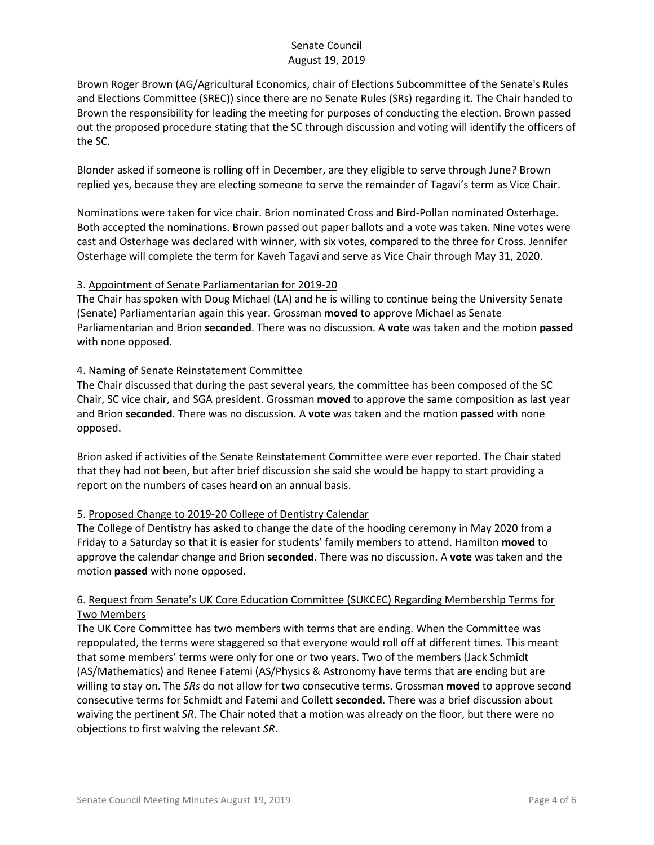Brown Roger Brown (AG/Agricultural Economics, chair of Elections Subcommittee of the Senate's Rules and Elections Committee (SREC)) since there are no Senate Rules (SRs) regarding it. The Chair handed to Brown the responsibility for leading the meeting for purposes of conducting the election. Brown passed out the proposed procedure stating that the SC through discussion and voting will identify the officers of the SC.

Blonder asked if someone is rolling off in December, are they eligible to serve through June? Brown replied yes, because they are electing someone to serve the remainder of Tagavi's term as Vice Chair.

Nominations were taken for vice chair. Brion nominated Cross and Bird-Pollan nominated Osterhage. Both accepted the nominations. Brown passed out paper ballots and a vote was taken. Nine votes were cast and Osterhage was declared with winner, with six votes, compared to the three for Cross. Jennifer Osterhage will complete the term for Kaveh Tagavi and serve as Vice Chair through May 31, 2020.

#### 3. Appointment of Senate Parliamentarian for 2019-20

The Chair has spoken with Doug Michael (LA) and he is willing to continue being the University Senate (Senate) Parliamentarian again this year. Grossman **moved** to approve Michael as Senate Parliamentarian and Brion **seconded**. There was no discussion. A **vote** was taken and the motion **passed** with none opposed.

#### 4. Naming of Senate Reinstatement Committee

The Chair discussed that during the past several years, the committee has been composed of the SC Chair, SC vice chair, and SGA president. Grossman **moved** to approve the same composition as last year and Brion **seconded**. There was no discussion. A **vote** was taken and the motion **passed** with none opposed.

Brion asked if activities of the Senate Reinstatement Committee were ever reported. The Chair stated that they had not been, but after brief discussion she said she would be happy to start providing a report on the numbers of cases heard on an annual basis.

# 5. Proposed Change to 2019-20 College of Dentistry Calendar

The College of Dentistry has asked to change the date of the hooding ceremony in May 2020 from a Friday to a Saturday so that it is easier for students' family members to attend. Hamilton **moved** to approve the calendar change and Brion **seconded**. There was no discussion. A **vote** was taken and the motion **passed** with none opposed.

#### 6. Request from Senate's UK Core Education Committee (SUKCEC) Regarding Membership Terms for Two Members

The UK Core Committee has two members with terms that are ending. When the Committee was repopulated, the terms were staggered so that everyone would roll off at different times. This meant that some members' terms were only for one or two years. Two of the members (Jack Schmidt (AS/Mathematics) and Renee Fatemi (AS/Physics & Astronomy have terms that are ending but are willing to stay on. The *SRs* do not allow for two consecutive terms. Grossman **moved** to approve second consecutive terms for Schmidt and Fatemi and Collett **seconded**. There was a brief discussion about waiving the pertinent *SR*. The Chair noted that a motion was already on the floor, but there were no objections to first waiving the relevant *SR*.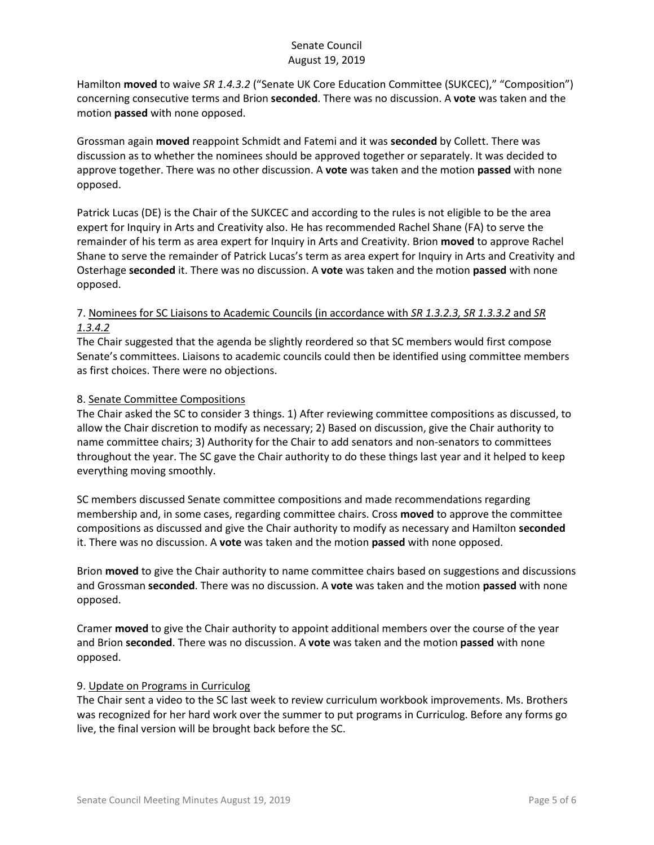Hamilton **moved** to waive *SR 1.4.3.2* ("Senate UK Core Education Committee (SUKCEC)," "Composition") concerning consecutive terms and Brion **seconded**. There was no discussion. A **vote** was taken and the motion **passed** with none opposed.

Grossman again **moved** reappoint Schmidt and Fatemi and it was **seconded** by Collett. There was discussion as to whether the nominees should be approved together or separately. It was decided to approve together. There was no other discussion. A **vote** was taken and the motion **passed** with none opposed.

Patrick Lucas (DE) is the Chair of the SUKCEC and according to the rules is not eligible to be the area expert for Inquiry in Arts and Creativity also. He has recommended Rachel Shane (FA) to serve the remainder of his term as area expert for Inquiry in Arts and Creativity. Brion **moved** to approve Rachel Shane to serve the remainder of Patrick Lucas's term as area expert for Inquiry in Arts and Creativity and Osterhage **seconded** it. There was no discussion. A **vote** was taken and the motion **passed** with none opposed.

# 7. Nominees for SC Liaisons to Academic Councils (in accordance with *SR 1.3.2.3, SR 1.3.3.2* and *SR 1.3.4.2*

The Chair suggested that the agenda be slightly reordered so that SC members would first compose Senate's committees. Liaisons to academic councils could then be identified using committee members as first choices. There were no objections.

# 8. Senate Committee Compositions

The Chair asked the SC to consider 3 things. 1) After reviewing committee compositions as discussed, to allow the Chair discretion to modify as necessary; 2) Based on discussion, give the Chair authority to name committee chairs; 3) Authority for the Chair to add senators and non-senators to committees throughout the year. The SC gave the Chair authority to do these things last year and it helped to keep everything moving smoothly.

SC members discussed Senate committee compositions and made recommendations regarding membership and, in some cases, regarding committee chairs. Cross **moved** to approve the committee compositions as discussed and give the Chair authority to modify as necessary and Hamilton **seconded**  it. There was no discussion. A **vote** was taken and the motion **passed** with none opposed.

Brion **moved** to give the Chair authority to name committee chairs based on suggestions and discussions and Grossman **seconded**. There was no discussion. A **vote** was taken and the motion **passed** with none opposed.

Cramer **moved** to give the Chair authority to appoint additional members over the course of the year and Brion **seconded**. There was no discussion. A **vote** was taken and the motion **passed** with none opposed.

#### 9. Update on Programs in Curriculog

The Chair sent a video to the SC last week to review curriculum workbook improvements. Ms. Brothers was recognized for her hard work over the summer to put programs in Curriculog. Before any forms go live, the final version will be brought back before the SC.